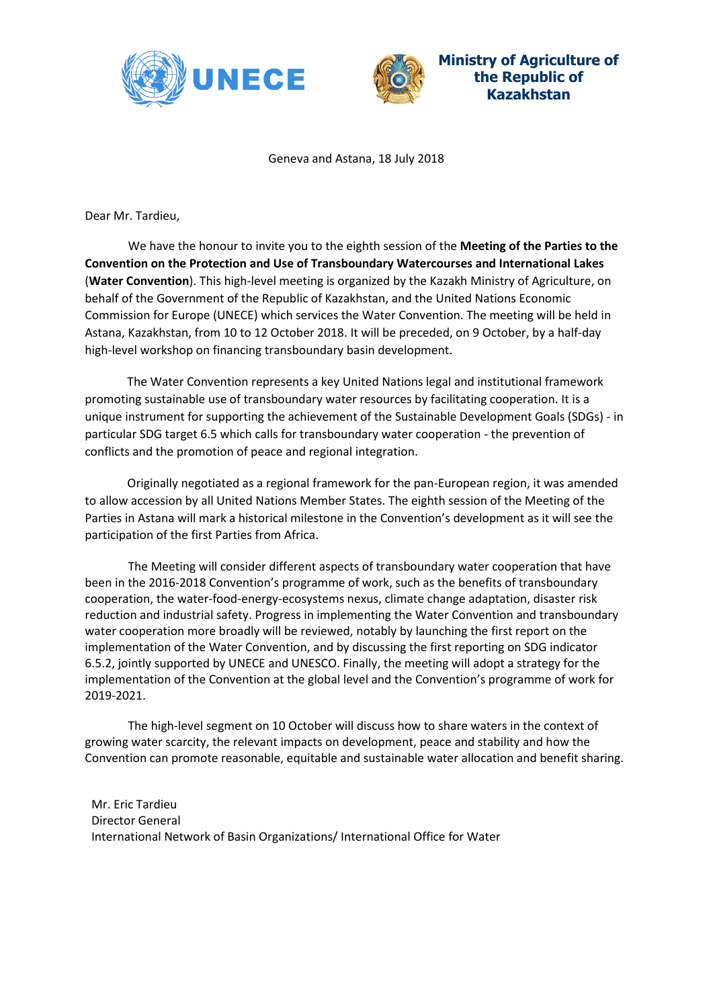



**Ministry of Agriculture of the Republic of Kazakhstan**

Geneva and Astana, 18 July 2018

Dear Mr. Tardieu,

We have the honour to invite you to the eighth session of the **Meeting of the Parties to the Convention on the Protection and Use of Transboundary Watercourses and International Lakes** (**Water Convention**). This high-level meeting is organized by the Kazakh Ministry of Agriculture, on behalf of the Government of the Republic of Kazakhstan, and the United Nations Economic Commission for Europe (UNECE) which services the Water Convention. The meeting will be held in Astana, Kazakhstan, from 10 to 12 October 2018. It will be preceded, on 9 October, by a half-day high-level workshop on financing transboundary basin development.

The Water Convention represents a key United Nations legal and institutional framework promoting sustainable use of transboundary water resources by facilitating cooperation. It is a unique instrument for supporting the achievement of the Sustainable Development Goals (SDGs) - in particular SDG target 6.5 which calls for transboundary water cooperation - the prevention of conflicts and the promotion of peace and regional integration.

Originally negotiated as a regional framework for the pan-European region, it was amended to allow accession by all United Nations Member States. The eighth session of the Meeting of the Parties in Astana will mark a historical milestone in the Convention's development as it will see the participation of the first Parties from Africa.

The Meeting will consider different aspects of transboundary water cooperation that have been in the 2016-2018 Convention's programme of work, such as the benefits of transboundary cooperation, the water-food-energy-ecosystems nexus, climate change adaptation, disaster risk reduction and industrial safety. Progress in implementing the Water Convention and transboundary water cooperation more broadly will be reviewed, notably by launching the first report on the implementation of the Water Convention, and by discussing the first reporting on SDG indicator 6.5.2, jointly supported by UNECE and UNESCO. Finally, the meeting will adopt a strategy for the implementation of the Convention at the global level and the Convention's programme of work for 2019-2021.

The high-level segment on 10 October will discuss how to share waters in the context of growing water scarcity, the relevant impacts on development, peace and stability and how the Convention can promote reasonable, equitable and sustainable water allocation and benefit sharing.

Mr. Eric Tardieu Director General International Network of Basin Organizations/ International Office for Water